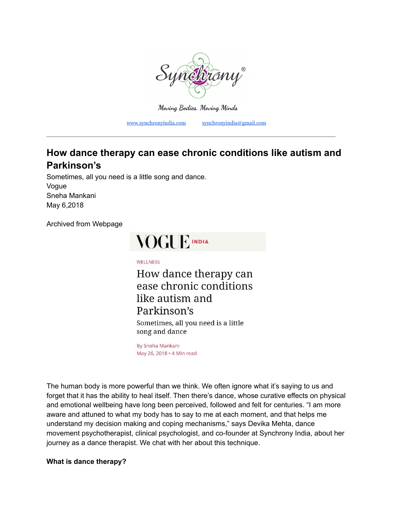

**Moving Bodies. Moving Minds**

[www.synchronyindia.com](http://www.synchronyindia.com) [synchronyindia@gmail.com](mailto:synchronyindia@gmail.com)

# **How dance therapy can ease chronic conditions like autism and Parkinson's**

\_\_\_\_\_\_\_\_\_\_\_\_\_\_\_\_\_\_\_\_\_\_\_\_\_\_\_\_\_\_\_\_\_\_\_\_\_\_\_\_\_\_\_\_\_\_\_\_\_\_\_\_\_\_\_\_\_\_\_\_\_\_\_\_\_\_\_\_\_\_\_\_\_\_\_\_\_\_\_\_\_\_\_\_\_\_\_

Sometimes, all you need is a little song and dance. Vogue Sneha Mankani May 6,2018

Archived from Webpage

# **VOGUE INDIA**

WELLNESS

How dance therapy can ease chronic conditions like autism and Parkinson's Sometimes, all you need is a little song and dance

By Sneha Mankani May 26, 2018 . 4 Min read

The human body is more powerful than we think. We often ignore what it's saying to us and forget that it has the ability to heal itself. Then there's dance, whose curative effects on physical and emotional wellbeing have long been perceived, followed and felt for centuries. "I am more aware and attuned to what my body has to say to me at each moment, and that helps me understand my decision making and coping mechanisms," says Devika Mehta, dance movement psychotherapist, clinical psychologist, and co-founder at Synchrony India, about her journey as a dance therapist. We chat with her about this technique.

**What is dance therapy?**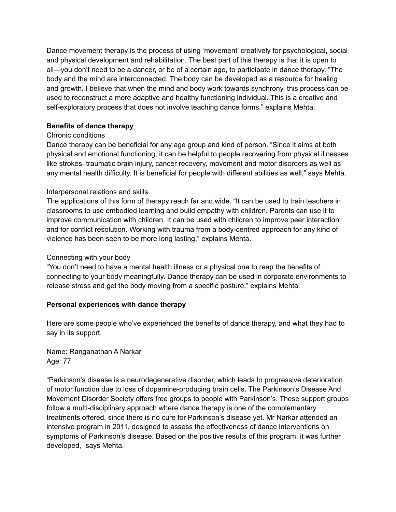Dance movement therapy is the process of using 'movement' creatively for psychological, social and physical development and rehabilitation. The best part of this therapy is that it is open to all—you don't need to be a dancer, or be of a certain age, to participate in dance therapy. "The body and the mind are interconnected. The body can be developed as a resource for healing and growth. I believe that when the mind and body work towards synchrony, this process can be used to reconstruct a more adaptive and healthy functioning individual. This is a creative and self-exploratory process that does not involve teaching dance forms," explains Mehta.

# **Benefits of dance therapy**

# Chronic conditions

Dance therapy can be beneficial for any age group and kind of person. "Since it aims at both physical and emotional functioning, it can be helpful to people recovering from physical illnesses like strokes, traumatic brain injury, cancer recovery, movement and motor disorders as well as any mental health difficulty. It is beneficial for people with different abilities as well," says Mehta.

# Interpersonal relations and skills

The applications of this form of therapy reach far and wide. "It can be used to train teachers in classrooms to use embodied learning and build empathy with children. Parents can use it to improve communication with children. It can be used with children to improve peer interaction and for conflict resolution. Working with trauma from a body-centred approach for any kind of violence has been seen to be more long lasting," explains Mehta.

# Connecting with your body

"You don't need to have a mental health illness or a physical one to reap the benefits of connecting to your body meaningfully. Dance therapy can be used in corporate environments to release stress and get the body moving from a specific posture," explains Mehta.

# **Personal experiences with dance therapy**

Here are some people who've experienced the benefits of dance therapy, and what they had to say in its support.

Name: Ranganathan A Narkar Age: 77

"Parkinson's disease is a neurodegenerative disorder, which leads to progressive deterioration of motor function due to loss of dopamine-producing brain cells. The Parkinson's Disease And Movement Disorder Society offers free groups to people with Parkinson's. These support groups follow a multi-disciplinary approach where dance therapy is one of the complementary treatments offered, since there is no cure for Parkinson's disease yet. Mr Narkar attended an intensive program in 2011, designed to assess the effectiveness of dance interventions on symptoms of Parkinson's disease. Based on the positive results of this program, it was further developed," says Mehta.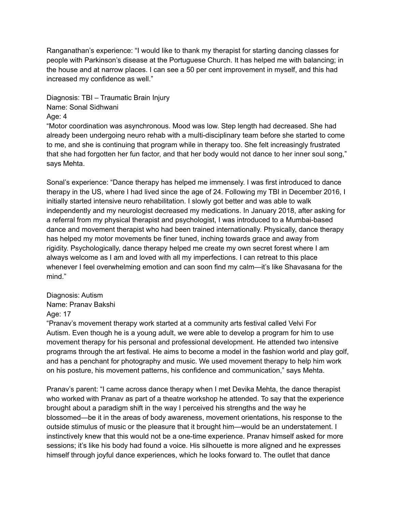Ranganathan's experience: "I would like to thank my therapist for starting dancing classes for people with Parkinson's disease at the Portuguese Church. It has helped me with balancing; in the house and at narrow places. I can see a 50 per cent improvement in myself, and this had increased my confidence as well."

Diagnosis: TBI – Traumatic Brain Injury Name: Sonal Sidhwani

## Age: 4

"Motor coordination was asynchronous. Mood was low. Step length had decreased. She had already been undergoing neuro rehab with a multi-disciplinary team before she started to come to me, and she is continuing that program while in therapy too. She felt increasingly frustrated that she had forgotten her fun factor, and that her body would not dance to her inner soul song," says Mehta.

Sonal's experience: "Dance therapy has helped me immensely. I was first introduced to dance therapy in the US, where I had lived since the age of 24. Following my TBI in December 2016, I initially started intensive neuro rehabilitation. I slowly got better and was able to walk independently and my neurologist decreased my medications. In January 2018, after asking for a referral from my physical therapist and psychologist, I was introduced to a Mumbai-based dance and movement therapist who had been trained internationally. Physically, dance therapy has helped my motor movements be finer tuned, inching towards grace and away from rigidity. Psychologically, dance therapy helped me create my own secret forest where I am always welcome as I am and loved with all my imperfections. I can retreat to this place whenever I feel overwhelming emotion and can soon find my calm—it's like Shavasana for the mind."

#### Diagnosis: Autism Name: Pranav Bakshi

#### Age: 17

"Pranav's movement therapy work started at a community arts festival called Velvi For Autism. Even though he is a young adult, we were able to develop a program for him to use movement therapy for his personal and professional development. He attended two intensive programs through the art festival. He aims to become a model in the fashion world and play golf, and has a penchant for photography and music. We used movement therapy to help him work on his posture, his movement patterns, his confidence and communication," says Mehta.

Pranav's parent: "I came across dance therapy when I met Devika Mehta, the dance therapist who worked with Pranav as part of a theatre workshop he attended. To say that the experience brought about a paradigm shift in the way I perceived his strengths and the way he blossomed—be it in the areas of body awareness, movement orientations, his response to the outside stimulus of music or the pleasure that it brought him—would be an understatement. I instinctively knew that this would not be a one-time experience. Pranav himself asked for more sessions; it's like his body had found a voice. His silhouette is more aligned and he expresses himself through joyful dance experiences, which he looks forward to. The outlet that dance